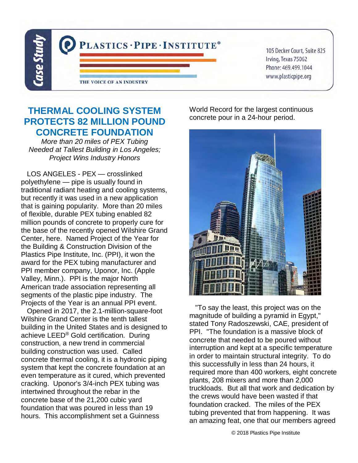

105 Decker Court, Suite 825 Irving, Texas 75062 Phone: 469.499.1044 www.plasticpipe.org

## **THERMAL COOLING SYSTEM PROTECTS 82 MILLION POUND CONCRETE FOUNDATION**

More than 20 miles of PEX Tubing Needed at Tallest Building in Los Angeles; Project Wins Industry Honors

LOS ANGELES - PEX — crosslinked polyethylene — pipe is usually found in traditional radiant heating and cooling systems, but recently it was used in a new application that is gaining popularity. More than 20 miles of flexible, durable PEX tubing enabled 82 million pounds of concrete to properly cure for the base of the recently opened Wilshire Grand Center, here. Named Project of the Year for the Building & Construction Division of the Plastics Pipe Institute, Inc. (PPI), it won the award for the PEX tubing manufacturer and PPI member company, Uponor, Inc. (Apple Valley, Minn.). PPI is the major North American trade association representing all segments of the plastic pipe industry. The Projects of the Year is an annual PPI event.

 Opened in 2017, the 2.1-million-square-foot Wilshire Grand Center is the tenth tallest building in the United States and is designed to achieve LEED® Gold certification. During construction, a new trend in commercial building construction was used. Called concrete thermal cooling, it is a hydronic piping system that kept the concrete foundation at an even temperature as it cured, which prevented cracking. Uponor's 3/4-inch PEX tubing was intertwined throughout the rebar in the concrete base of the 21,200 cubic yard foundation that was poured in less than 19 hours. This accomplishment set a Guinness

World Record for the largest continuous concrete pour in a 24-hour period.



 "To say the least, this project was on the magnitude of building a pyramid in Egypt," stated Tony Radoszewski, CAE, president of PPI. "The foundation is a massive block of concrete that needed to be poured without interruption and kept at a specific temperature in order to maintain structural integrity. To do this successfully in less than 24 hours, it required more than 400 workers, eight concrete plants, 208 mixers and more than 2,000 truckloads. But all that work and dedication by the crews would have been wasted if that foundation cracked. The miles of the PEX tubing prevented that from happening. It was an amazing feat, one that our members agreed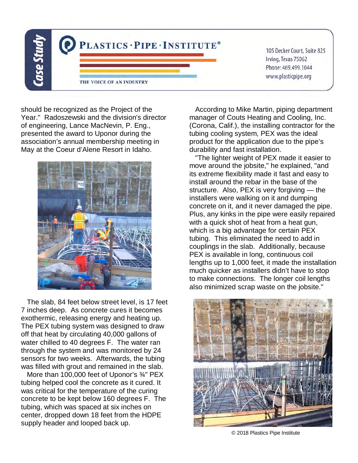

should be recognized as the Project of the Year." Radoszewski and the division's director of engineering, Lance MacNevin, P. Eng., presented the award to Uponor during the association's annual membership meeting in May at the Coeur d'Alene Resort in Idaho.



 The slab, 84 feet below street level, is 17 feet 7 inches deep. As concrete cures it becomes exothermic, releasing energy and heating up. The PEX tubing system was designed to draw off that heat by circulating 40,000 gallons of water chilled to 40 degrees F. The water ran through the system and was monitored by 24 sensors for two weeks. Afterwards, the tubing was filled with grout and remained in the slab.

 More than 100,000 feet of Uponor's ¾" PEX tubing helped cool the concrete as it cured. It was critical for the temperature of the curing concrete to be kept below 160 degrees F. The tubing, which was spaced at six inches on center, dropped down 18 feet from the HDPE supply header and looped back up.

 According to Mike Martin, piping department manager of Couts Heating and Cooling, Inc. (Corona, Calif.), the installing contractor for the tubing cooling system, PEX was the ideal product for the application due to the pipe's durability and fast installation.

 "The lighter weight of PEX made it easier to move around the jobsite," he explained, "and its extreme flexibility made it fast and easy to install around the rebar in the base of the structure. Also, PEX is very forgiving — the installers were walking on it and dumping concrete on it, and it never damaged the pipe. Plus, any kinks in the pipe were easily repaired with a quick shot of heat from a heat gun, which is a big advantage for certain PEX tubing. This eliminated the need to add in couplings in the slab. Additionally, because PEX is available in long, continuous coil lengths up to 1,000 feet, it made the installation much quicker as installers didn't have to stop to make connections. The longer coil lengths also minimized scrap waste on the jobsite."



© 2018 Plastics Pipe Institute